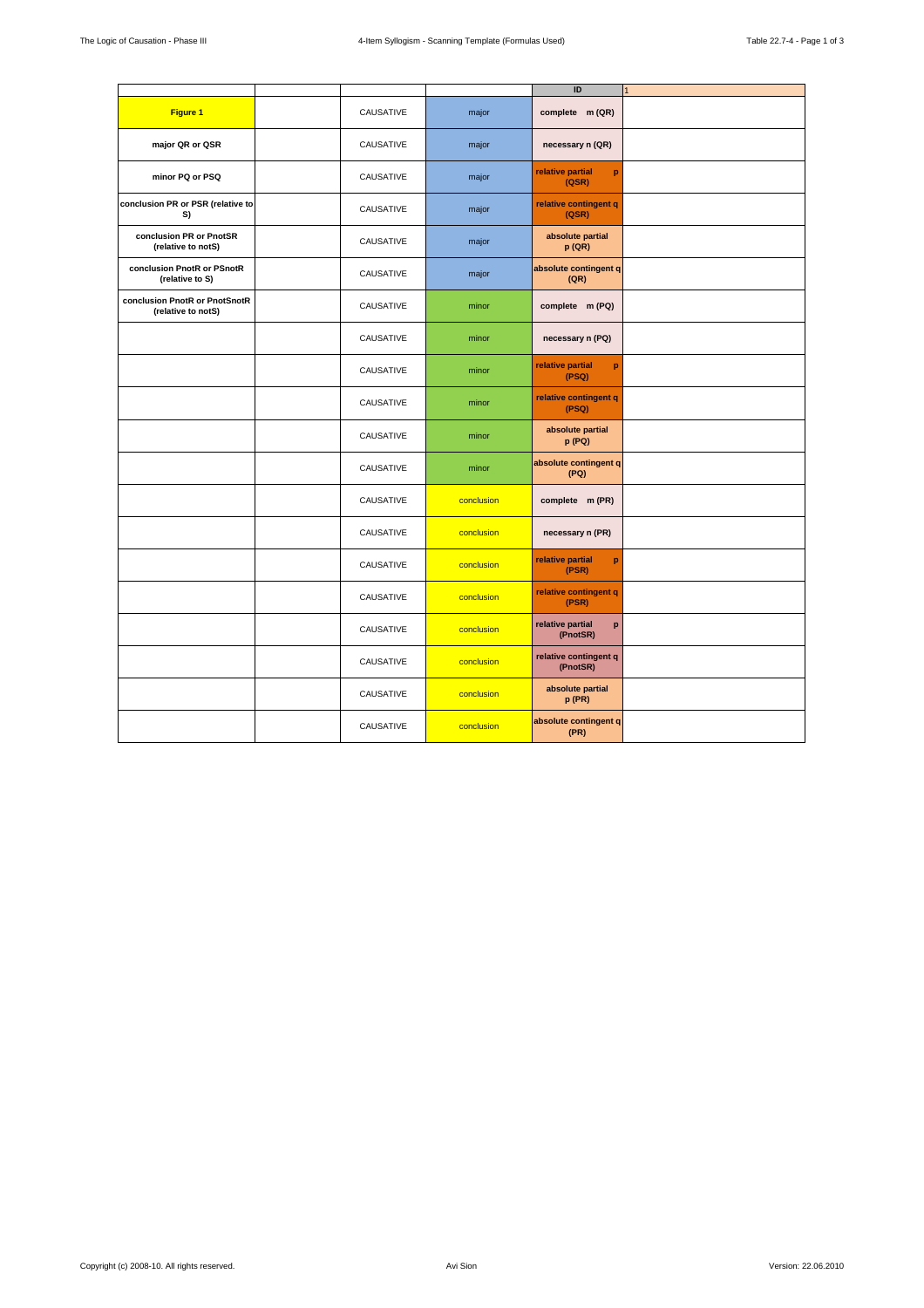|                                                     |           |            | ID                                | $\overline{1}$ |
|-----------------------------------------------------|-----------|------------|-----------------------------------|----------------|
| Figure 1                                            | CAUSATIVE | major      | complete m (QR)                   |                |
| major QR or QSR                                     | CAUSATIVE | major      | necessary n (QR)                  |                |
| minor PQ or PSQ                                     | CAUSATIVE | major      | relative partial<br>p<br>(QSR)    |                |
| conclusion PR or PSR (relative to<br>S)             | CAUSATIVE | major      | relative contingent q<br>(QSR)    |                |
| conclusion PR or PnotSR<br>(relative to notS)       | CAUSATIVE | major      | absolute partial<br>p(QR)         |                |
| conclusion PnotR or PSnotR<br>(relative to S)       | CAUSATIVE | major      | absolute contingent q<br>(QR)     |                |
| conclusion PnotR or PnotSnotR<br>(relative to notS) | CAUSATIVE | minor      | complete m (PQ)                   |                |
|                                                     | CAUSATIVE | minor      | necessary n (PQ)                  |                |
|                                                     | CAUSATIVE | minor      | relative partial<br>p<br>(PSQ)    |                |
|                                                     | CAUSATIVE | minor      | relative contingent q<br>(PSQ)    |                |
|                                                     | CAUSATIVE | minor      | absolute partial<br>p (PQ)        |                |
|                                                     | CAUSATIVE | minor      | absolute contingent q<br>(PQ)     |                |
|                                                     | CAUSATIVE | conclusion | complete m (PR)                   |                |
|                                                     | CAUSATIVE | conclusion | necessary n (PR)                  |                |
|                                                     | CAUSATIVE | conclusion | relative partial<br>p<br>(PSR)    |                |
|                                                     | CAUSATIVE | conclusion | relative contingent q<br>(PSR)    |                |
|                                                     | CAUSATIVE | conclusion | relative partial<br>p<br>(PnotSR) |                |
|                                                     | CAUSATIVE | conclusion | relative contingent q<br>(PnotSR) |                |
|                                                     | CAUSATIVE | conclusion | absolute partial<br>p(PR)         |                |
|                                                     | CAUSATIVE | conclusion | absolute contingent q<br>(PR)     |                |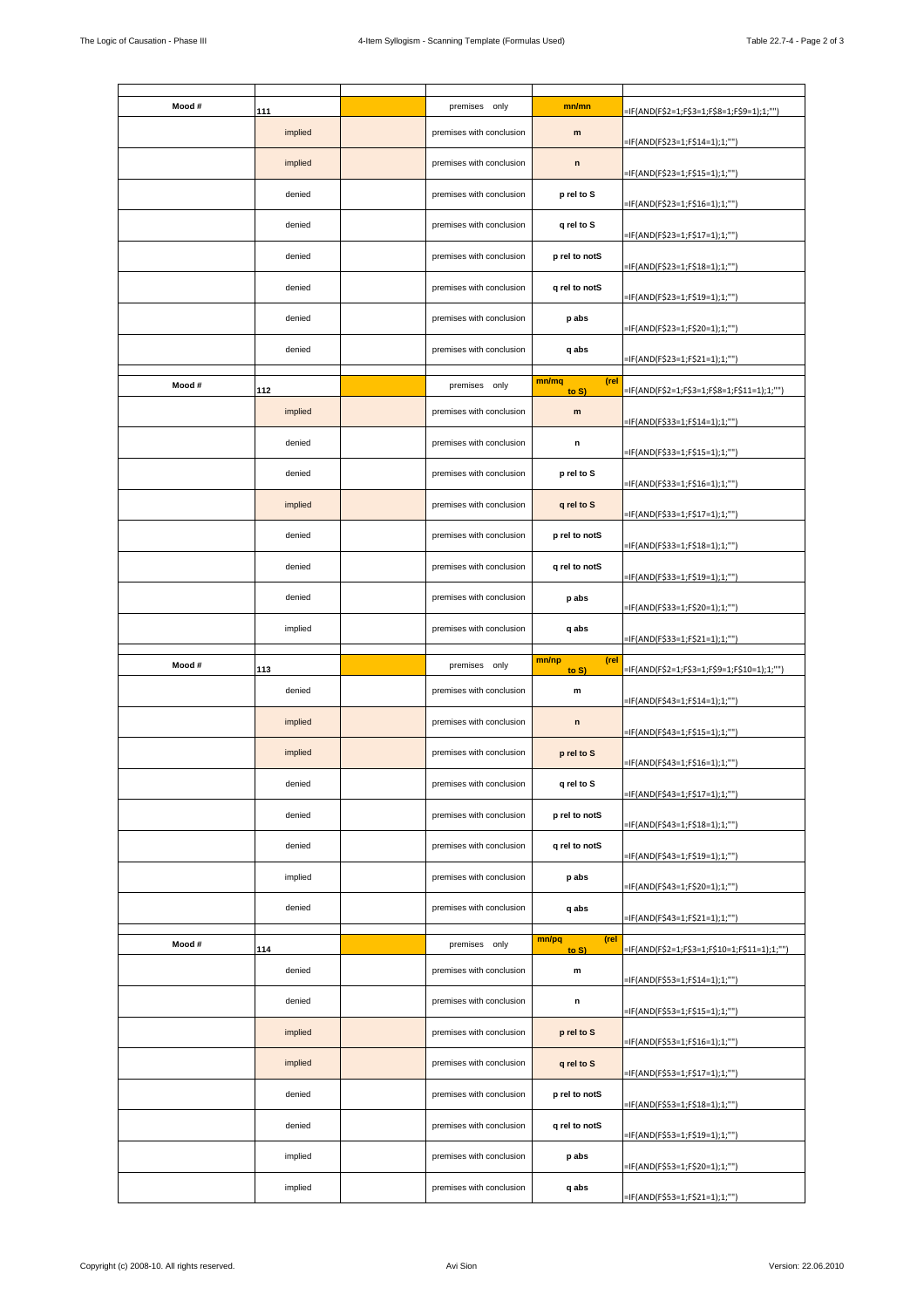| Mood # | 111           | premises only            | mn/mn                  | =IF(AND(F\$2=1;F\$3=1;F\$8=1;F\$9=1);1;"")   |
|--------|---------------|--------------------------|------------------------|----------------------------------------------|
|        | implied       | premises with conclusion | m                      | =IF(AND(F\$23=1;F\$14=1);1;"")               |
|        | implied       | premises with conclusion | $\mathsf{n}$           | =IF(AND(F\$23=1;F\$15=1);1;"")               |
|        | denied        | premises with conclusion | p rel to S             | =IF(AND(F\$23=1;F\$16=1);1;"")               |
|        | denied        | premises with conclusion | q rel to S             |                                              |
|        | denied        | premises with conclusion | p rel to notS          | =IF(AND(F\$23=1;F\$17=1);1;"")               |
|        | denied        | premises with conclusion | q rel to notS          | =IF(AND(F\$23=1;F\$18=1);1;"")               |
|        | denied        | premises with conclusion | p abs                  | =IF(AND(F\$23=1;F\$19=1);1;"")               |
|        | denied        | premises with conclusion | q abs                  | =IF(AND(F\$23=1;F\$20=1);1;"")               |
|        |               |                          |                        | =IF(AND(F\$23=1;F\$21=1);1;"")               |
| Mood # | 112           | premises only            | (rel<br>mn/mq<br>to S) | =IF(AND(F\$2=1;F\$3=1;F\$8=1;F\$11=1);1;"")  |
|        | implied       | premises with conclusion | m                      | =IF(AND(F\$33=1;F\$14=1);1;"")               |
|        | denied        | premises with conclusion | n                      | =IF(AND(F\$33=1;F\$15=1);1;"")               |
|        | denied        | premises with conclusion | p rel to S             | =IF(AND(F\$33=1;F\$16=1);1;""]               |
|        | implied       | premises with conclusion | q rel to S             | =IF(AND(F\$33=1;F\$17=1);1;""]               |
|        | denied        | premises with conclusion | p rel to notS          | =IF(AND(F\$33=1;F\$18=1);1;"")               |
|        | denied        | premises with conclusion | q rel to notS          | =IF(AND(F\$33=1;F\$19=1);1;""]               |
|        | denied        | premises with conclusion | p abs                  | =IF(AND(F\$33=1;F\$20=1);1;"")               |
|        | implied       | premises with conclusion | q abs                  | =IF(AND(F\$33=1;F\$21=1);1;"")               |
|        |               |                          |                        |                                              |
|        |               |                          |                        |                                              |
| Mood # | 113           | premises only            | (rel<br>mn/np<br>to S) | =IF(AND(F\$2=1;F\$3=1;F\$9=1;F\$10=1);1;"")  |
|        | denied        | premises with conclusion | m                      | =IF(AND(F\$43=1;F\$14=1);1;"")               |
|        | implied       | premises with conclusion | $\mathsf n$            | =IF(AND(F\$43=1;F\$15=1);1;"")               |
|        | implied       | premises with conclusion | p rel to S             | =IF(AND(F\$43=1;F\$16=1);1;"")               |
|        | denied        | premises with conclusion | q rel to S             | =IF(AND(F\$43=1;F\$17=1);1;"")               |
|        | denied        | premises with conclusion | p rel to notS          | =IF(AND(F\$43=1;F\$18=1);1;"")               |
|        | denied        | premises with conclusion | q rel to notS          | =IF(AND(F\$43=1;F\$19=1);1;"")               |
|        | implied       | premises with conclusion | p abs                  | =IF(AND(F\$43=1;F\$20=1);1;"")               |
|        | denied        | premises with conclusion | q abs                  | =IF(AND(F\$43=1;F\$21=1);1;"")               |
|        |               |                          | mn/pq<br>(rel          |                                              |
| Mood # | 114<br>denied | premises only            | to S)                  | =IF(AND(F\$2=1;F\$3=1;F\$10=1;F\$11=1);1;"") |
|        |               | premises with conclusion | m                      | =IF(AND(F\$53=1;F\$14=1);1;"")               |
|        | denied        | premises with conclusion | n                      | =IF(AND(F\$53=1;F\$15=1);1;"")               |
|        | implied       | premises with conclusion | p rel to S             | =IF(AND(F\$53=1;F\$16=1);1;"")               |
|        | implied       | premises with conclusion | q rel to S             | =IF(AND(F\$53=1;F\$17=1);1;"")               |
|        | denied        | premises with conclusion | p rel to notS          | =IF(AND(F\$53=1;F\$18=1);1;"")               |
|        | denied        | premises with conclusion | q rel to notS          | =IF(AND(F\$53=1;F\$19=1);1;"")               |
|        | implied       | premises with conclusion | p abs                  | =IF(AND(F\$53=1;F\$20=1);1;"")               |